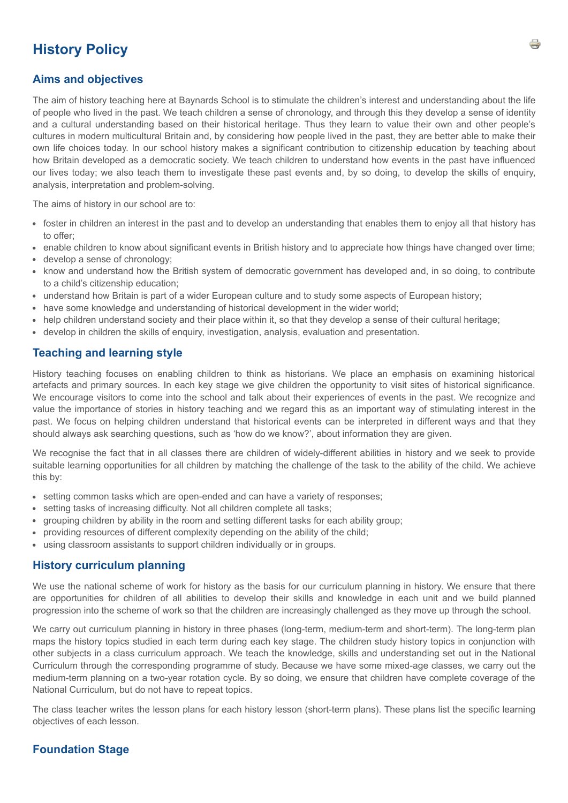# **History Policy**

# **Aims and objectives**

The aim of history teaching here at Baynards School is to stimulate the children's interest and understanding about the life of people who lived in the past. We teach children a sense of chronology, and through this they develop a sense of identity and a cultural understanding based on their historical heritage. Thus they learn to value their own and other people's cultures in modern multicultural Britain and, by considering how people lived in the past, they are better able to make their own life choices today. In our school history makes a significant contribution to citizenship education by teaching about how Britain developed as a democratic society. We teach children to understand how events in the past have influenced our lives today; we also teach them to investigate these past events and, by so doing, to develop the skills of enquiry, analysis, interpretation and problem-solving.

The aims of history in our school are to:

- foster in children an interest in the past and to develop an understanding that enables them to enjoy all that history has to offer;
- enable children to know about significant events in British history and to appreciate how things have changed over time;
- develop a sense of chronology;
- know and understand how the British system of democratic government has developed and, in so doing, to contribute to a child's citizenship education;
- understand how Britain is part of a wider European culture and to study some aspects of European history;
- have some knowledge and understanding of historical development in the wider world;
- help children understand society and their place within it, so that they develop a sense of their cultural heritage;
- develop in children the skills of enquiry, investigation, analysis, evaluation and presentation.

## **Teaching and learning style**

History teaching focuses on enabling children to think as historians. We place an emphasis on examining historical artefacts and primary sources. In each key stage we give children the opportunity to visit sites of historical significance. We encourage visitors to come into the school and talk about their experiences of events in the past. We recognize and value the importance of stories in history teaching and we regard this as an important way of stimulating interest in the past. We focus on helping children understand that historical events can be interpreted in different ways and that they should always ask searching questions, such as 'how do we know?', about information they are given.

We recognise the fact that in all classes there are children of widely-different abilities in history and we seek to provide suitable learning opportunities for all children by matching the challenge of the task to the ability of the child. We achieve this by:

- setting common tasks which are open-ended and can have a variety of responses;
- setting tasks of increasing difficulty. Not all children complete all tasks:
- grouping children by ability in the room and setting different tasks for each ability group;
- providing resources of different complexity depending on the ability of the child;
- using classroom assistants to support children individually or in groups.

#### **History curriculum planning**

We use the national scheme of work for history as the basis for our curriculum planning in history. We ensure that there are opportunities for children of all abilities to develop their skills and knowledge in each unit and we build planned progression into the scheme of work so that the children are increasingly challenged as they move up through the school.

We carry out curriculum planning in history in three phases (long-term, medium-term and short-term). The long-term plan maps the history topics studied in each term during each key stage. The children study history topics in conjunction with other subjects in a class curriculum approach. We teach the knowledge, skills and understanding set out in the National Curriculum through the corresponding programme of study. Because we have some mixed-age classes, we carry out the medium-term planning on a two-year rotation cycle. By so doing, we ensure that children have complete coverage of the National Curriculum, but do not have to repeat topics.

The class teacher writes the lesson plans for each history lesson (short-term plans). These plans list the specific learning objectives of each lesson.

# **Foundation Stage**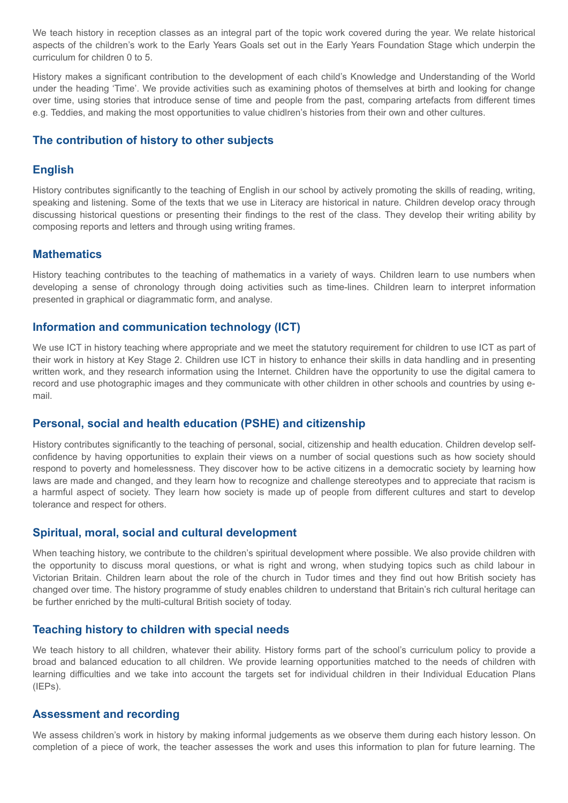We teach history in reception classes as an integral part of the topic work covered during the year. We relate historical aspects of the children's work to the Early Years Goals set out in the Early Years Foundation Stage which underpin the curriculum for children 0 to 5.

History makes a significant contribution to the development of each child's Knowledge and Understanding of the World under the heading 'Time'. We provide activities such as examining photos of themselves at birth and looking for change over time, using stories that introduce sense of time and people from the past, comparing artefacts from different times e.g. Teddies, and making the most opportunities to value chidlren's histories from their own and other cultures.

# **The contribution of history to other subjects**

# **English**

History contributes significantly to the teaching of English in our school by actively promoting the skills of reading, writing, speaking and listening. Some of the texts that we use in Literacy are historical in nature. Children develop oracy through discussing historical questions or presenting their findings to the rest of the class. They develop their writing ability by composing reports and letters and through using writing frames.

## **Mathematics**

History teaching contributes to the teaching of mathematics in a variety of ways. Children learn to use numbers when developing a sense of chronology through doing activities such as time-lines. Children learn to interpret information presented in graphical or diagrammatic form, and analyse.

## **Information and communication technology (ICT)**

We use ICT in history teaching where appropriate and we meet the statutory requirement for children to use ICT as part of their work in history at Key Stage 2. Children use ICT in history to enhance their skills in data handling and in presenting written work, and they research information using the Internet. Children have the opportunity to use the digital camera to record and use photographic images and they communicate with other children in other schools and countries by using email.

# **Personal, social and health education (PSHE) and citizenship**

History contributes significantly to the teaching of personal, social, citizenship and health education. Children develop selfconfidence by having opportunities to explain their views on a number of social questions such as how society should respond to poverty and homelessness. They discover how to be active citizens in a democratic society by learning how laws are made and changed, and they learn how to recognize and challenge stereotypes and to appreciate that racism is a harmful aspect of society. They learn how society is made up of people from different cultures and start to develop tolerance and respect for others.

#### **Spiritual, moral, social and cultural development**

When teaching history, we contribute to the children's spiritual development where possible. We also provide children with the opportunity to discuss moral questions, or what is right and wrong, when studying topics such as child labour in Victorian Britain. Children learn about the role of the church in Tudor times and they find out how British society has changed over time. The history programme of study enables children to understand that Britain's rich cultural heritage can be further enriched by the multi-cultural British society of today.

# **Teaching history to children with special needs**

We teach history to all children, whatever their ability. History forms part of the school's curriculum policy to provide a broad and balanced education to all children. We provide learning opportunities matched to the needs of children with learning difficulties and we take into account the targets set for individual children in their Individual Education Plans  $(IEPs)$ .

#### **Assessment and recording**

We assess children's work in history by making informal judgements as we observe them during each history lesson. On completion of a piece of work, the teacher assesses the work and uses this information to plan for future learning. The